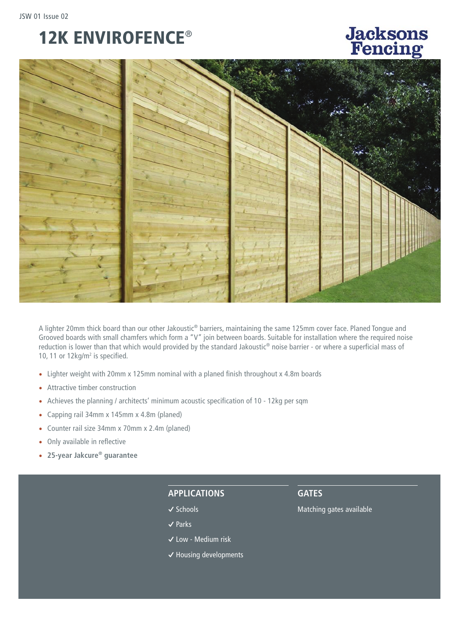## 12K ENVIROFENCE®

# **Jacksons**<br>Fencing



A lighter 20mm thick board than our other Jakoustic® barriers, maintaining the same 125mm cover face. Planed Tongue and Grooved boards with small chamfers which form a "V" join between boards. Suitable for installation where the required noise reduction is lower than that which would provided by the standard Jakoustic® noise barrier - or where a superficial mass of 10, 11 or 12kg/m<sup>2</sup> is specified.

- Lighter weight with 20mm x 125mm nominal with a planed finish throughout x 4.8m boards
- Attractive timber construction
- Achieves the planning / architects' minimum acoustic specification of 10 12kg per sqm
- Capping rail 34mm x 145mm x 4.8m (planed)
- Counter rail size 34mm x 70mm x 2.4m (planed)
- Only available in reflective
- **25-year Jakcure® guarantee**

#### **APPLICATIONS**

- **�** Schools
- **�** Parks
- **�** Low Medium risk
- **�** Housing developments

**GATES**

Matching gates available